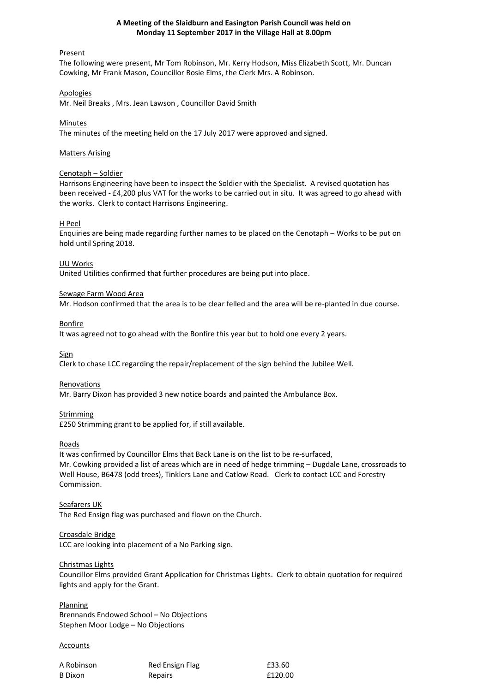# **A Meeting of the Slaidburn and Easington Parish Council was held on Monday 11 September 2017 in the Village Hall at 8.00pm**

## Present

The following were present, Mr Tom Robinson, Mr. Kerry Hodson, Miss Elizabeth Scott, Mr. Duncan Cowking, Mr Frank Mason, Councillor Rosie Elms, the Clerk Mrs. A Robinson.

## Apologies

Mr. Neil Breaks , Mrs. Jean Lawson , Councillor David Smith

## Minutes

The minutes of the meeting held on the 17 July 2017 were approved and signed.

## Matters Arising

# Cenotaph – Soldier

Harrisons Engineering have been to inspect the Soldier with the Specialist. A revised quotation has been received - £4,200 plus VAT for the works to be carried out in situ. It was agreed to go ahead with the works. Clerk to contact Harrisons Engineering.

## H Peel

Enquiries are being made regarding further names to be placed on the Cenotaph – Works to be put on hold until Spring 2018.

### UU Works

United Utilities confirmed that further procedures are being put into place.

## Sewage Farm Wood Area

Mr. Hodson confirmed that the area is to be clear felled and the area will be re-planted in due course.

Bonfire

It was agreed not to go ahead with the Bonfire this year but to hold one every 2 years.

**Sign** 

Clerk to chase LCC regarding the repair/replacement of the sign behind the Jubilee Well.

### Renovations

Mr. Barry Dixon has provided 3 new notice boards and painted the Ambulance Box.

## Strimming

£250 Strimming grant to be applied for, if still available.

### Roads

It was confirmed by Councillor Elms that Back Lane is on the list to be re-surfaced, Mr. Cowking provided a list of areas which are in need of hedge trimming – Dugdale Lane, crossroads to Well House, B6478 (odd trees), Tinklers Lane and Catlow Road. Clerk to contact LCC and Forestry Commission.

### Seafarers UK

The Red Ensign flag was purchased and flown on the Church.

### Croasdale Bridge

LCC are looking into placement of a No Parking sign.

## Christmas Lights

Councillor Elms provided Grant Application for Christmas Lights. Clerk to obtain quotation for required lights and apply for the Grant.

**Planning** Brennands Endowed School – No Objections Stephen Moor Lodge – No Objections

### **Accounts**

| A Robinson | Red Ensign Flag | £33.60  |
|------------|-----------------|---------|
| B Dixon    | Repairs         | £120.00 |